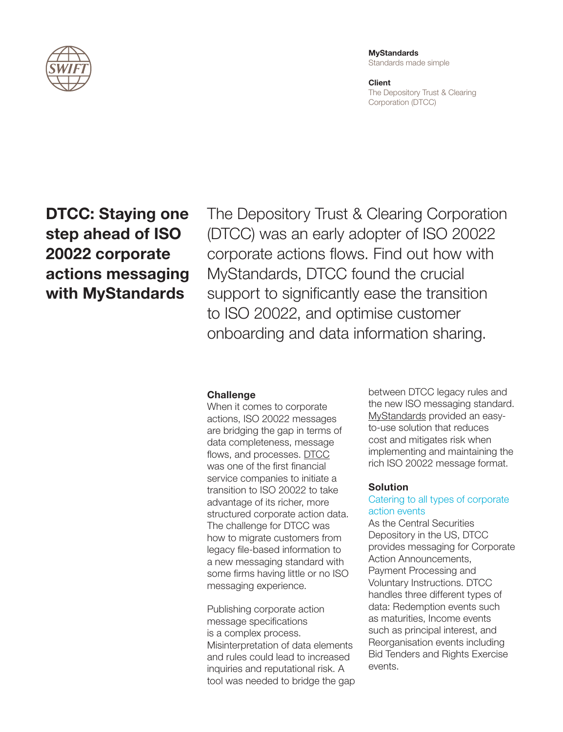

**MyStandards** Standards made simple

**Client** The Depository Trust & Clearing Corporation (DTCC)

# DTCC: Staying one step ahead of ISO 20022 corporate actions messaging with MyStandards

The Depository Trust & Clearing Corporation (DTCC) was an early adopter of ISO 20022 corporate actions flows. Find out how with MyStandards, DTCC found the crucial support to significantly ease the transition to ISO 20022, and optimise customer onboarding and data information sharing.

# **Challenge**

When it comes to corporate actions, ISO 20022 messages are bridging the gap in terms of data completeness, message flows, and processes. [DTCC](https://www.dtcc.com/) was one of the first financial service companies to initiate a transition to ISO 20022 to take advantage of its richer, more structured corporate action data. The challenge for DTCC was how to migrate customers from legacy file-based information to a new messaging standard with some firms having little or no ISO messaging experience.

Publishing corporate action message specifications is a complex process. Misinterpretation of data elements and rules could lead to increased inquiries and reputational risk. A tool was needed to bridge the gap between DTCC legacy rules and the new ISO messaging standard. [MyStandards](https://www.swift.com/standards/mystandards-and-swift-translator) provided an easyto-use solution that reduces cost and mitigates risk when implementing and maintaining the rich ISO 20022 message format.

#### **Solution**

# Catering to all types of corporate action events

As the Central Securities Depository in the US, DTCC provides messaging for Corporate Action Announcements, Payment Processing and Voluntary Instructions. DTCC handles three different types of data: Redemption events such as maturities, Income events such as principal interest, and Reorganisation events including Bid Tenders and Rights Exercise events.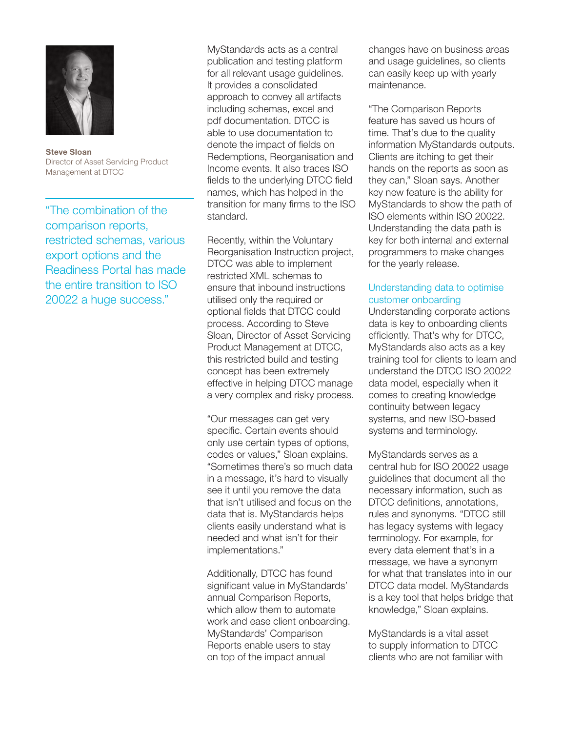

Steve Sloan Director of Asset Servicing Product Management at DTCC

"The combination of the comparison reports, restricted schemas, various export options and the Readiness Portal has made the entire transition to ISO 20022 a huge success."

MyStandards acts as a central publication and testing platform for all relevant usage guidelines. It provides a consolidated approach to convey all artifacts including schemas, excel and pdf documentation. DTCC is able to use documentation to denote the impact of fields on Redemptions, Reorganisation and Income events. It also traces ISO fields to the underlying DTCC field names, which has helped in the transition for many firms to the ISO standard.

Recently, within the Voluntary Reorganisation Instruction project, DTCC was able to implement restricted XML schemas to ensure that inbound instructions utilised only the required or optional fields that DTCC could process. According to Steve Sloan, Director of Asset Servicing Product Management at DTCC, this restricted build and testing concept has been extremely effective in helping DTCC manage a very complex and risky process.

"Our messages can get very specific. Certain events should only use certain types of options, codes or values," Sloan explains. "Sometimes there's so much data in a message, it's hard to visually see it until you remove the data that isn't utilised and focus on the data that is. MyStandards helps clients easily understand what is needed and what isn't for their implementations."

Additionally, DTCC has found significant value in MyStandards' annual Comparison Reports, which allow them to automate work and ease client onboarding. MyStandards' Comparison Reports enable users to stay on top of the impact annual

changes have on business areas and usage guidelines, so clients can easily keep up with yearly maintenance.

"The Comparison Reports feature has saved us hours of time. That's due to the quality information MyStandards outputs. Clients are itching to get their hands on the reports as soon as they can," Sloan says. Another key new feature is the ability for MyStandards to show the path of ISO elements within ISO 20022. Understanding the data path is key for both internal and external programmers to make changes for the yearly release.

### Understanding data to optimise customer onboarding

Understanding corporate actions data is key to onboarding clients efficiently. That's why for DTCC, MyStandards also acts as a key training tool for clients to learn and understand the DTCC ISO 20022 data model, especially when it comes to creating knowledge continuity between legacy systems, and new ISO-based systems and terminology.

MyStandards serves as a central hub for ISO 20022 usage guidelines that document all the necessary information, such as DTCC definitions, annotations, rules and synonyms. "DTCC still has legacy systems with legacy terminology. For example, for every data element that's in a message, we have a synonym for what that translates into in our DTCC data model. MyStandards is a key tool that helps bridge that knowledge," Sloan explains.

MyStandards is a vital asset to supply information to DTCC clients who are not familiar with